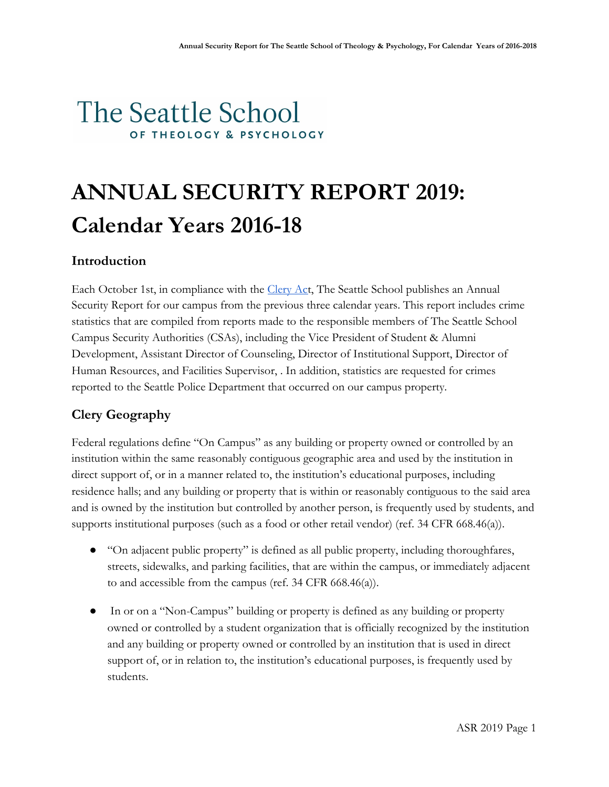# The Seattle School OF THEOLOGY & PSYCHOLOGY

# **ANNUAL SECURITY REPORT 2019: Calendar Years 2016-18**

# **Introduction**

Each October 1st, in compliance with the [Clery Act](https://clerycenter.org/policy-resources/the-clery-act/), The Seattle School publishes an Annual Security Report for our campus from the previous three calendar years. This report includes crime statistics that are compiled from reports made to the responsible members of The Seattle School Campus Security Authorities (CSAs), including the Vice President of Student & Alumni Development, Assistant Director of Counseling, Director of Institutional Support, Director of Human Resources, and Facilities Supervisor, . In addition, statistics are requested for crimes reported to the Seattle Police Department that occurred on our campus property.

# **Clery Geography**

Federal regulations define "On Campus" as any building or property owned or controlled by an institution within the same reasonably contiguous geographic area and used by the institution in direct support of, or in a manner related to, the institution's educational purposes, including residence halls; and any building or property that is within or reasonably contiguous to the said area and is owned by the institution but controlled by another person, is frequently used by students, and supports institutional purposes (such as a food or other retail vendor) (ref. 34 CFR 668.46(a)).

- "On adjacent public property" is defined as all public property, including thoroughfares, streets, sidewalks, and parking facilities, that are within the campus, or immediately adjacent to and accessible from the campus (ref. 34 CFR 668.46(a)).
- In or on a "Non-Campus" building or property is defined as any building or property owned or controlled by a student organization that is officially recognized by the institution and any building or property owned or controlled by an institution that is used in direct support of, or in relation to, the institution's educational purposes, is frequently used by students.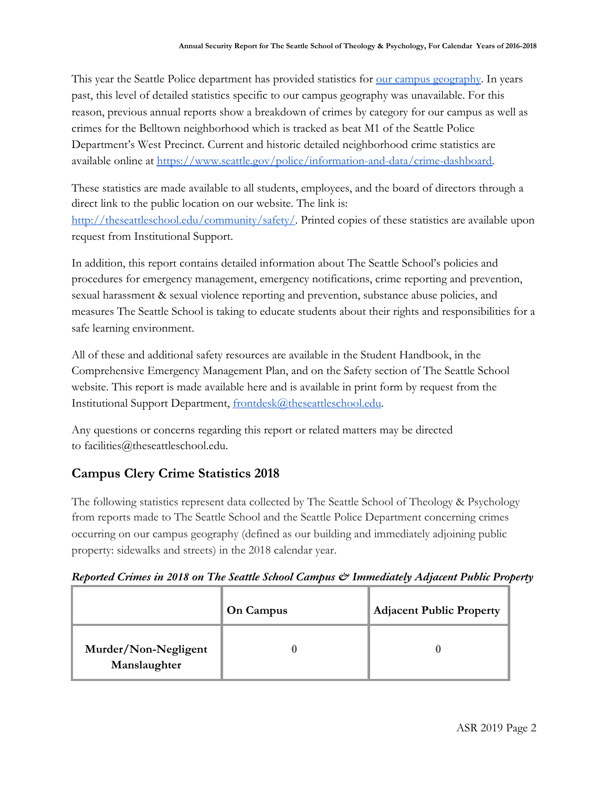This year the Seattle Police department has provided statistics for <u>our campus geography</u>. In years past, this level of detailed statistics specific to our campus geography was unavailable. For this reason, previous annual reports show a breakdown of crimes by category for our campus as well as crimes for the Belltown neighborhood which is tracked as beat M1 of the Seattle Police Department's West Precinct. Current and historic detailed neighborhood crime statistics are available online at [https://www.seattle.gov/police/information-and-data/crime-dashboard.](https://www.seattle.gov/police/information-and-data/crime-dashboard)

These statistics are made available to all students, employees, and the board of directors through a direct link to the public location on our website. The link is: [http://theseattleschool.edu/community/safety/.](http://theseattleschool.edu/community/safety/) Printed copies of these statistics are available upon request from Institutional Support.

In addition, this report contains detailed information about The Seattle School's policies and procedures for emergency management, emergency notifications, crime reporting and prevention, sexual harassment & sexual violence reporting and prevention, substance abuse policies, and measures The Seattle School is taking to educate students about their rights and responsibilities for a safe learning environment.

All of these and additional safety resources are available in the Student Handbook, in the Comprehensive Emergency Management Plan, and on the Safety section of The Seattle School website. This report is made available here and is available in print form by request from the Institutional Support Department, [frontdesk@theseattleschool.edu](mailto:frontdesk@theseattleschool.edu).

Any questions or concerns regarding this report or related matters may be directed to facilities@theseattleschool.edu.

# **Campus Clery Crime Statistics 2018**

The following statistics represent data collected by The Seattle School of Theology & Psychology from reports made to The Seattle School and the Seattle Police Department concerning crimes occurring on our campus geography (defined as our building and immediately adjoining public property: sidewalks and streets) in the 2018 calendar year.

|  |  |  |  |  | Reported Crimes in 2018 on The Seattle School Campus & Immediately Adjacent Public Property |  |  |  |
|--|--|--|--|--|---------------------------------------------------------------------------------------------|--|--|--|
|  |  |  |  |  |                                                                                             |  |  |  |

|                                      | <b>On Campus</b> | <b>Adjacent Public Property</b> |
|--------------------------------------|------------------|---------------------------------|
| Murder/Non-Negligent<br>Manslaughter |                  |                                 |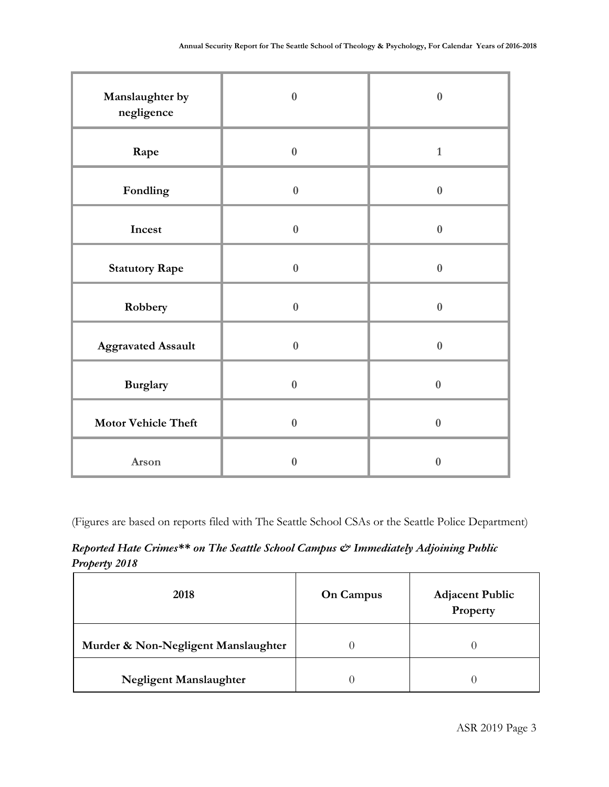| Manslaughter by<br>negligence | $\bf{0}$         | $\bf{0}$     |
|-------------------------------|------------------|--------------|
| Rape                          | $\boldsymbol{0}$ | $\mathbf{1}$ |
| Fondling                      | $\bf{0}$         | $\bf{0}$     |
| Incest                        | $\bf{0}$         | $\bf{0}$     |
| <b>Statutory Rape</b>         | $\boldsymbol{0}$ | $\bf{0}$     |
| Robbery                       | $\bf{0}$         | $\bf{0}$     |
| <b>Aggravated Assault</b>     | $\bf{0}$         | $\bf{0}$     |
| <b>Burglary</b>               | $\bf{0}$         | $\bf{0}$     |
| <b>Motor Vehicle Theft</b>    | $\bf{0}$         | $\bf{0}$     |
| Arson                         | $\bf{0}$         | $\bf{0}$     |

(Figures are based on reports filed with The Seattle School CSAs or the Seattle Police Department)

*Reported Hate Crimes\*\* on The Seattle School Campus & Immediately Adjoining Public Property 2018*

| 2018                                | <b>On Campus</b> | <b>Adjacent Public</b><br>Property |
|-------------------------------------|------------------|------------------------------------|
| Murder & Non-Negligent Manslaughter |                  |                                    |
| <b>Negligent Manslaughter</b>       |                  |                                    |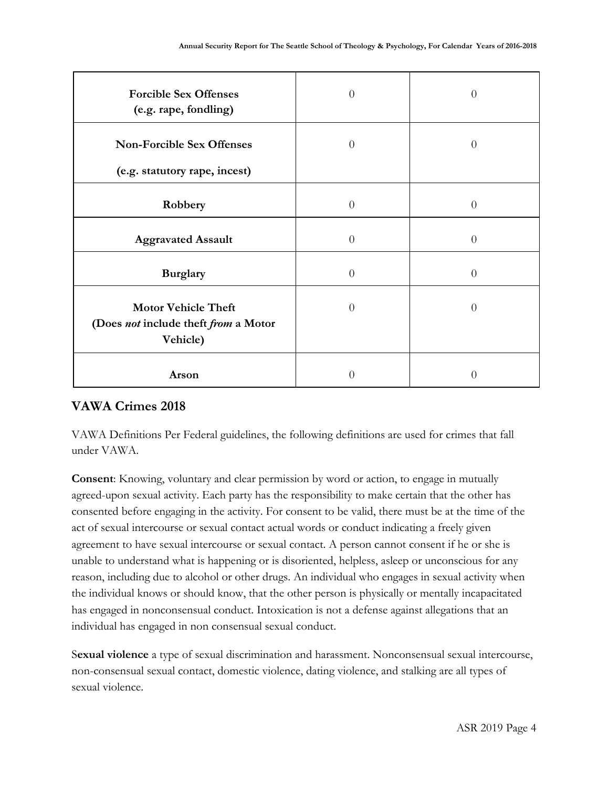| <b>Forcible Sex Offenses</b><br>(e.g. rape, fondling)                          | $\overline{0}$   | 0        |
|--------------------------------------------------------------------------------|------------------|----------|
| <b>Non-Forcible Sex Offenses</b><br>(e.g. statutory rape, incest)              | $\overline{0}$   | 0        |
| Robbery                                                                        | $\overline{0}$   | 0        |
| <b>Aggravated Assault</b>                                                      | $\overline{0}$   | $\theta$ |
| <b>Burglary</b>                                                                | $\overline{0}$   | $\theta$ |
| <b>Motor Vehicle Theft</b><br>(Does not include theft from a Motor<br>Vehicle) | $\overline{0}$   | 0        |
| Arson                                                                          | $\left( \right)$ | 0        |

# **VAWA Crimes 2018**

VAWA Definitions Per Federal guidelines, the following definitions are used for crimes that fall under VAWA.

**Consent**: Knowing, voluntary and clear permission by word or action, to engage in mutually agreed-upon sexual activity. Each party has the responsibility to make certain that the other has consented before engaging in the activity. For consent to be valid, there must be at the time of the act of sexual intercourse or sexual contact actual words or conduct indicating a freely given agreement to have sexual intercourse or sexual contact. A person cannot consent if he or she is unable to understand what is happening or is disoriented, helpless, asleep or unconscious for any reason, including due to alcohol or other drugs. An individual who engages in sexual activity when the individual knows or should know, that the other person is physically or mentally incapacitated has engaged in nonconsensual conduct. Intoxication is not a defense against allegations that an individual has engaged in non consensual sexual conduct.

S**exual violence** a type of sexual discrimination and harassment. Nonconsensual sexual intercourse, non-consensual sexual contact, domestic violence, dating violence, and stalking are all types of sexual violence.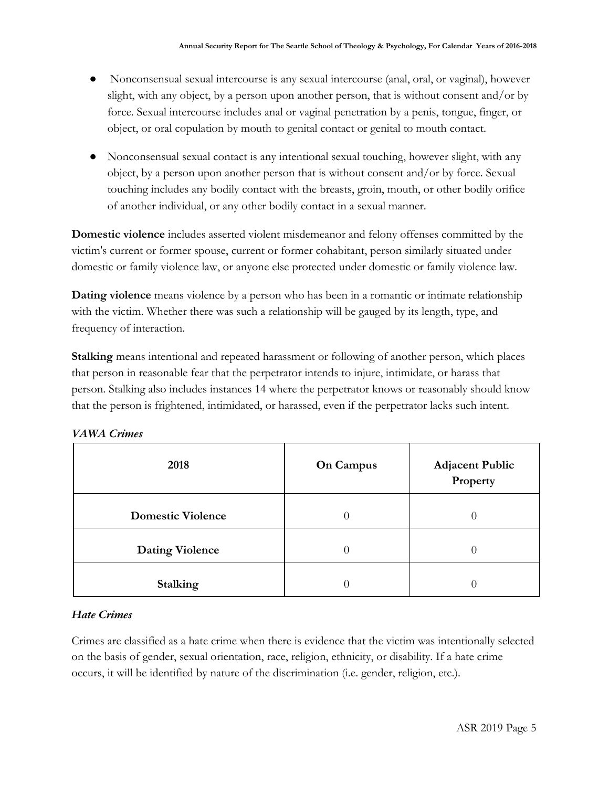- Nonconsensual sexual intercourse is any sexual intercourse (anal, oral, or vaginal), however slight, with any object, by a person upon another person, that is without consent and/or by force. Sexual intercourse includes anal or vaginal penetration by a penis, tongue, finger, or object, or oral copulation by mouth to genital contact or genital to mouth contact.
- Nonconsensual sexual contact is any intentional sexual touching, however slight, with any object, by a person upon another person that is without consent and/or by force. Sexual touching includes any bodily contact with the breasts, groin, mouth, or other bodily orifice of another individual, or any other bodily contact in a sexual manner.

**Domestic violence** includes asserted violent misdemeanor and felony offenses committed by the victim's current or former spouse, current or former cohabitant, person similarly situated under domestic or family violence law, or anyone else protected under domestic or family violence law.

**Dating violence** means violence by a person who has been in a romantic or intimate relationship with the victim. Whether there was such a relationship will be gauged by its length, type, and frequency of interaction.

**Stalking** means intentional and repeated harassment or following of another person, which places that person in reasonable fear that the perpetrator intends to injure, intimidate, or harass that person. Stalking also includes instances 14 where the perpetrator knows or reasonably should know that the person is frightened, intimidated, or harassed, even if the perpetrator lacks such intent.

| 2018                     | <b>On Campus</b> | <b>Adjacent Public</b><br>Property |
|--------------------------|------------------|------------------------------------|
| <b>Domestic Violence</b> |                  |                                    |
| <b>Dating Violence</b>   |                  | U                                  |
| <b>Stalking</b>          |                  |                                    |

|  | <b>VAWA Crimes</b> |
|--|--------------------|
|  |                    |

#### *Hate Crimes*

Crimes are classified as a hate crime when there is evidence that the victim was intentionally selected on the basis of gender, sexual orientation, race, religion, ethnicity, or disability. If a hate crime occurs, it will be identified by nature of the discrimination (i.e. gender, religion, etc.).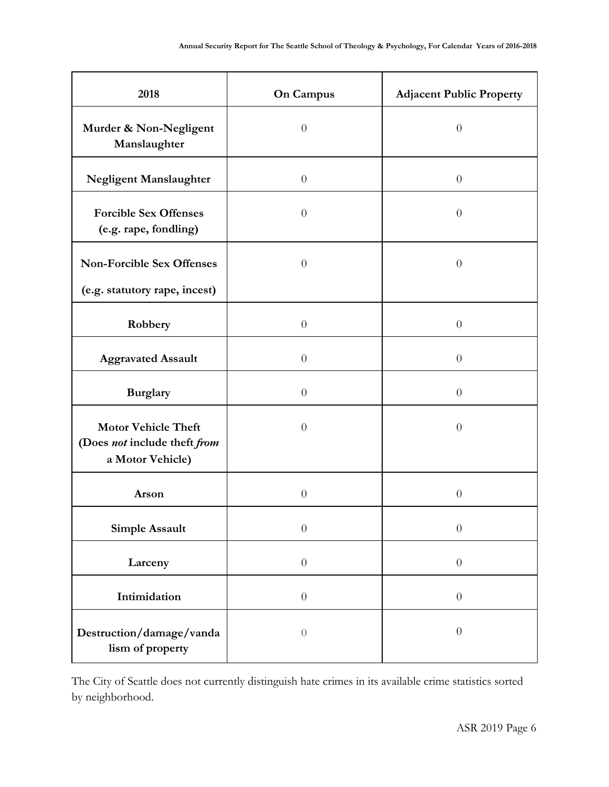| 2018                                                                           | <b>On Campus</b> | <b>Adjacent Public Property</b> |
|--------------------------------------------------------------------------------|------------------|---------------------------------|
| Murder & Non-Negligent<br>Manslaughter                                         | $\overline{0}$   | $\overline{0}$                  |
| Negligent Manslaughter                                                         | $\theta$         | $\theta$                        |
| <b>Forcible Sex Offenses</b><br>(e.g. rape, fondling)                          | $\overline{0}$   | $\theta$                        |
| <b>Non-Forcible Sex Offenses</b><br>(e.g. statutory rape, incest)              | $\theta$         | $\overline{0}$                  |
| Robbery                                                                        | $\theta$         | $\theta$                        |
| <b>Aggravated Assault</b>                                                      | $\overline{0}$   | $\theta$                        |
| <b>Burglary</b>                                                                | $\theta$         | $\theta$                        |
| <b>Motor Vehicle Theft</b><br>(Does not include theft from<br>a Motor Vehicle) | $\overline{0}$   | $\theta$                        |
| Arson                                                                          | $\theta$         | $\theta$                        |
| Simple Assault                                                                 | $\theta$         | $\theta$                        |
| Larceny                                                                        | $\boldsymbol{0}$ | $\boldsymbol{0}$                |
| Intimidation                                                                   | $\boldsymbol{0}$ | $\boldsymbol{0}$                |
| Destruction/damage/vanda<br>lism of property                                   | $\sqrt{a}$       | $\theta$                        |

The City of Seattle does not currently distinguish hate crimes in its available crime statistics sorted by neighborhood.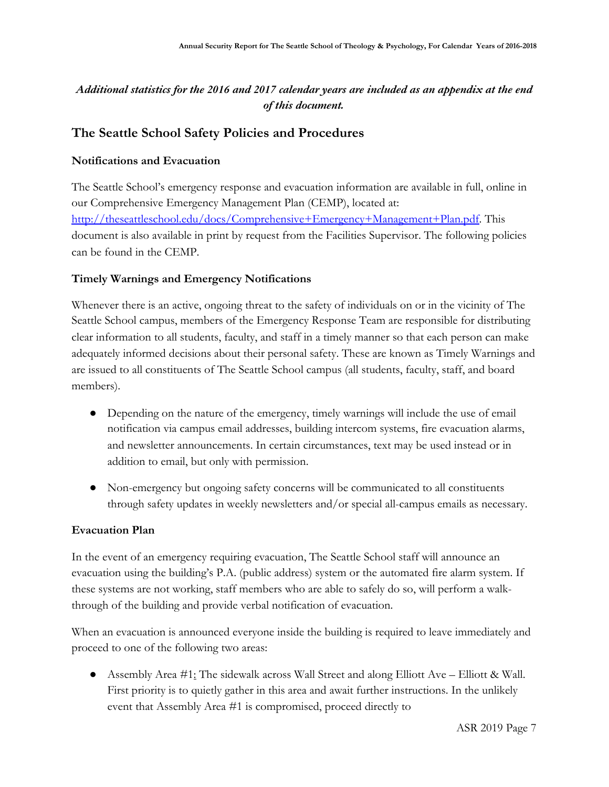## *Additional statistics for the 2016 and 2017 calendar years are included as an appendix at the end of this document.*

# **The Seattle School Safety Policies and Procedures**

#### **Notifications and Evacuation**

The Seattle School's emergency response and evacuation information are available in full, online in our Comprehensive Emergency Management Plan (CEMP), located at: [http://theseattleschool.edu/docs/Comprehensive+Emergency+Management+Plan.pdf.](http://theseattleschool.edu/docs/Comprehensive+Emergency+Management+Plan.pdf) This document is also available in print by request from the Facilities Supervisor. The following policies can be found in the CEMP.

#### **Timely Warnings and Emergency Notifications**

Whenever there is an active, ongoing threat to the safety of individuals on or in the vicinity of The Seattle School campus, members of the Emergency Response Team are responsible for distributing clear information to all students, faculty, and staff in a timely manner so that each person can make adequately informed decisions about their personal safety. These are known as Timely Warnings and are issued to all constituents of The Seattle School campus (all students, faculty, staff, and board members).

- Depending on the nature of the emergency, timely warnings will include the use of email notification via campus email addresses, building intercom systems, fire evacuation alarms, and newsletter announcements. In certain circumstances, text may be used instead or in addition to email, but only with permission.
- Non-emergency but ongoing safety concerns will be communicated to all constituents through safety updates in weekly newsletters and/or special all-campus emails as necessary.

#### **Evacuation Plan**

In the event of an emergency requiring evacuation, The Seattle School staff will announce an evacuation using the building's P.A. (public address) system or the automated fire alarm system. If these systems are not working, staff members who are able to safely do so, will perform a walkthrough of the building and provide verbal notification of evacuation.

When an evacuation is announced everyone inside the building is required to leave immediately and proceed to one of the following two areas:

● Assembly Area #1: The sidewalk across Wall Street and along Elliott Ave – Elliott & Wall. First priority is to quietly gather in this area and await further instructions. In the unlikely event that Assembly Area #1 is compromised, proceed directly to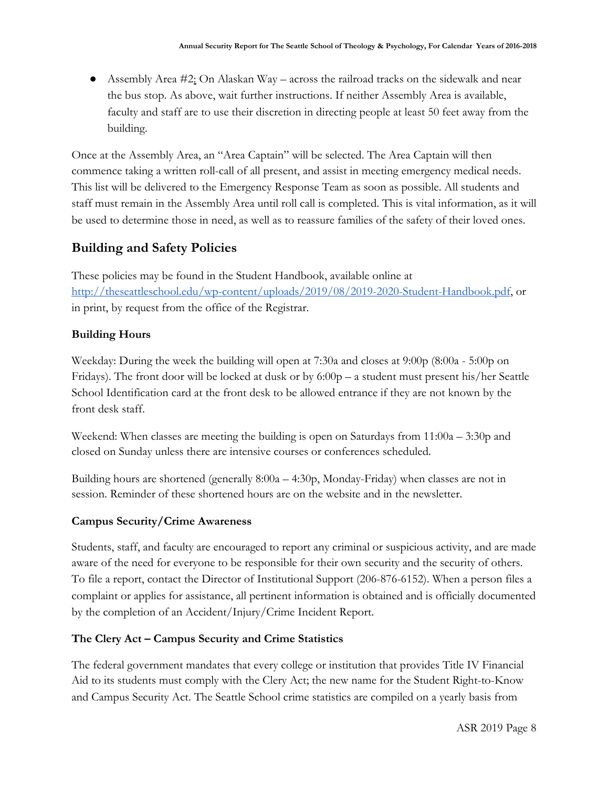• Assembly Area  $\#2$ : On Alaskan Way – across the railroad tracks on the sidewalk and near the bus stop. As above, wait further instructions. If neither Assembly Area is available, faculty and staff are to use their discretion in directing people at least 50 feet away from the building.

Once at the Assembly Area, an "Area Captain" will be selected. The Area Captain will then commence taking a written roll-call of all present, and assist in meeting emergency medical needs. This list will be delivered to the Emergency Response Team as soon as possible. All students and staff must remain in the Assembly Area until roll call is completed. This is vital information, as it will be used to determine those in need, as well as to reassure families of the safety of their loved ones.

# **Building and Safety Policies**

These policies may be found in the Student Handbook, available online at <http://theseattleschool.edu/wp-content/uploads/2019/08/2019-2020-Student-Handbook.pdf>, or in print, by request from the office of the Registrar.

## **Building Hours**

Weekday: During the week the building will open at 7:30a and closes at 9:00p (8:00a - 5:00p on Fridays). The front door will be locked at dusk or by 6:00p – a student must present his/her Seattle School Identification card at the front desk to be allowed entrance if they are not known by the front desk staff.

Weekend: When classes are meeting the building is open on Saturdays from  $11:00a - 3:30p$  and closed on Sunday unless there are intensive courses or conferences scheduled.

Building hours are shortened (generally 8:00a – 4:30p, Monday-Friday) when classes are not in session. Reminder of these shortened hours are on the website and in the newsletter.

# **Campus Security/Crime Awareness**

Students, staff, and faculty are encouraged to report any criminal or suspicious activity, and are made aware of the need for everyone to be responsible for their own security and the security of others. To file a report, contact the Director of Institutional Support (206-876-6152). When a person files a complaint or applies for assistance, all pertinent information is obtained and is officially documented by the completion of an Accident/Injury/Crime Incident Report.

#### **The Clery Act – Campus Security and Crime Statistics**

The federal government mandates that every college or institution that provides Title IV Financial Aid to its students must comply with the Clery Act; the new name for the Student Right-to-Know and Campus Security Act. The Seattle School crime statistics are compiled on a yearly basis from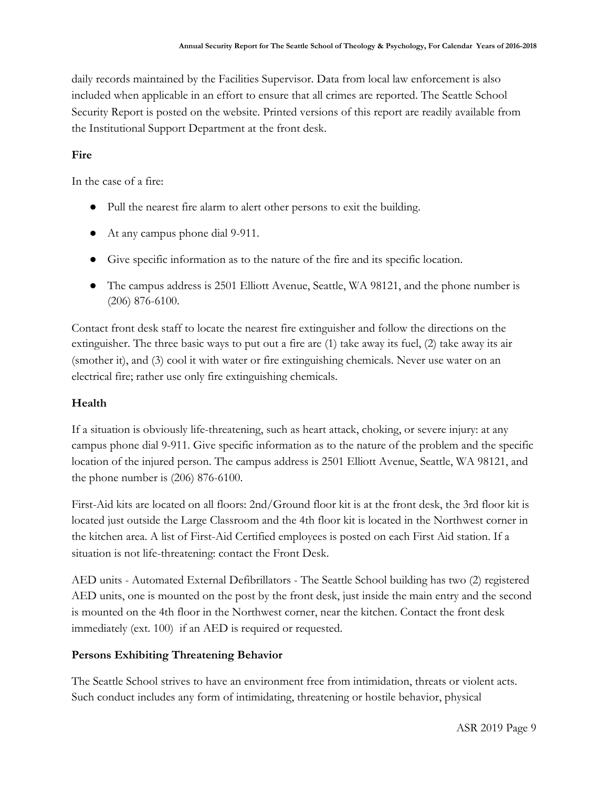daily records maintained by the Facilities Supervisor. Data from local law enforcement is also included when applicable in an effort to ensure that all crimes are reported. The Seattle School Security Report is posted on the website. Printed versions of this report are readily available from the Institutional Support Department at the front desk.

#### **Fire**

In the case of a fire:

- Pull the nearest fire alarm to alert other persons to exit the building.
- At any campus phone dial 9-911.
- Give specific information as to the nature of the fire and its specific location.
- The campus address is 2501 Elliott Avenue, Seattle, WA 98121, and the phone number is (206) 876-6100.

Contact front desk staff to locate the nearest fire extinguisher and follow the directions on the extinguisher. The three basic ways to put out a fire are (1) take away its fuel, (2) take away its air (smother it), and (3) cool it with water or fire extinguishing chemicals. Never use water on an electrical fire; rather use only fire extinguishing chemicals.

#### **Health**

If a situation is obviously life-threatening, such as heart attack, choking, or severe injury: at any campus phone dial 9-911. Give specific information as to the nature of the problem and the specific location of the injured person. The campus address is 2501 Elliott Avenue, Seattle, WA 98121, and the phone number is (206) 876-6100.

First-Aid kits are located on all floors: 2nd/Ground floor kit is at the front desk, the 3rd floor kit is located just outside the Large Classroom and the 4th floor kit is located in the Northwest corner in the kitchen area. A list of First-Aid Certified employees is posted on each First Aid station. If a situation is not life-threatening: contact the Front Desk.

AED units - Automated External Defibrillators - The Seattle School building has two (2) registered AED units, one is mounted on the post by the front desk, just inside the main entry and the second is mounted on the 4th floor in the Northwest corner, near the kitchen. Contact the front desk immediately (ext. 100) if an AED is required or requested.

#### **Persons Exhibiting Threatening Behavior**

The Seattle School strives to have an environment free from intimidation, threats or violent acts. Such conduct includes any form of intimidating, threatening or hostile behavior, physical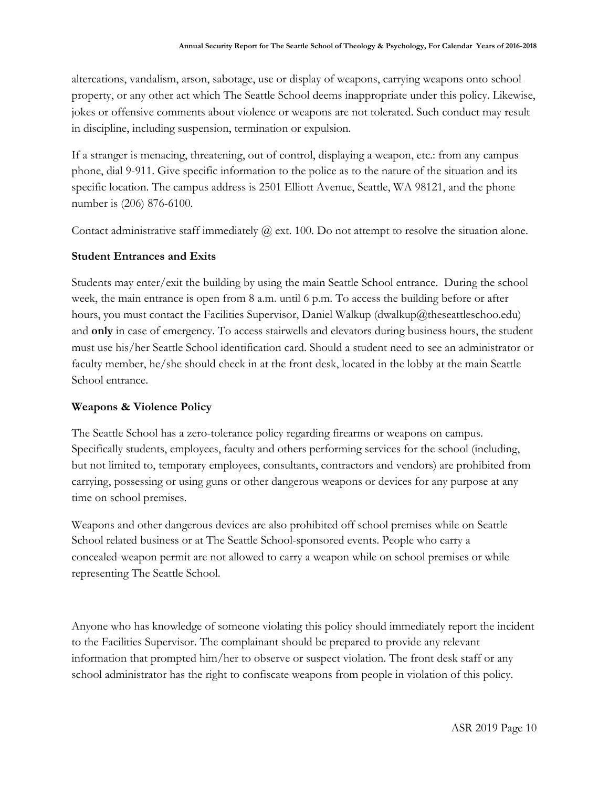altercations, vandalism, arson, sabotage, use or display of weapons, carrying weapons onto school property, or any other act which The Seattle School deems inappropriate under this policy. Likewise, jokes or offensive comments about violence or weapons are not tolerated. Such conduct may result in discipline, including suspension, termination or expulsion.

If a stranger is menacing, threatening, out of control, displaying a weapon, etc.: from any campus phone, dial 9-911. Give specific information to the police as to the nature of the situation and its specific location. The campus address is 2501 Elliott Avenue, Seattle, WA 98121, and the phone number is (206) 876-6100.

Contact administrative staff immediately  $\omega$  ext. 100. Do not attempt to resolve the situation alone.

#### **Student Entrances and Exits**

Students may enter/exit the building by using the main Seattle School entrance. During the school week, the main entrance is open from 8 a.m. until 6 p.m. To access the building before or after hours, you must contact the Facilities Supervisor, Daniel Walkup (dwalkup@theseattleschoo.edu) and **only** in case of emergency. To access stairwells and elevators during business hours, the student must use his/her Seattle School identification card. Should a student need to see an administrator or faculty member, he/she should check in at the front desk, located in the lobby at the main Seattle School entrance.

#### **Weapons & Violence Policy**

The Seattle School has a zero-tolerance policy regarding firearms or weapons on campus. Specifically students, employees, faculty and others performing services for the school (including, but not limited to, temporary employees, consultants, contractors and vendors) are prohibited from carrying, possessing or using guns or other dangerous weapons or devices for any purpose at any time on school premises.

Weapons and other dangerous devices are also prohibited off school premises while on Seattle School related business or at The Seattle School-sponsored events. People who carry a concealed-weapon permit are not allowed to carry a weapon while on school premises or while representing The Seattle School.

Anyone who has knowledge of someone violating this policy should immediately report the incident to the Facilities Supervisor. The complainant should be prepared to provide any relevant information that prompted him/her to observe or suspect violation. The front desk staff or any school administrator has the right to confiscate weapons from people in violation of this policy.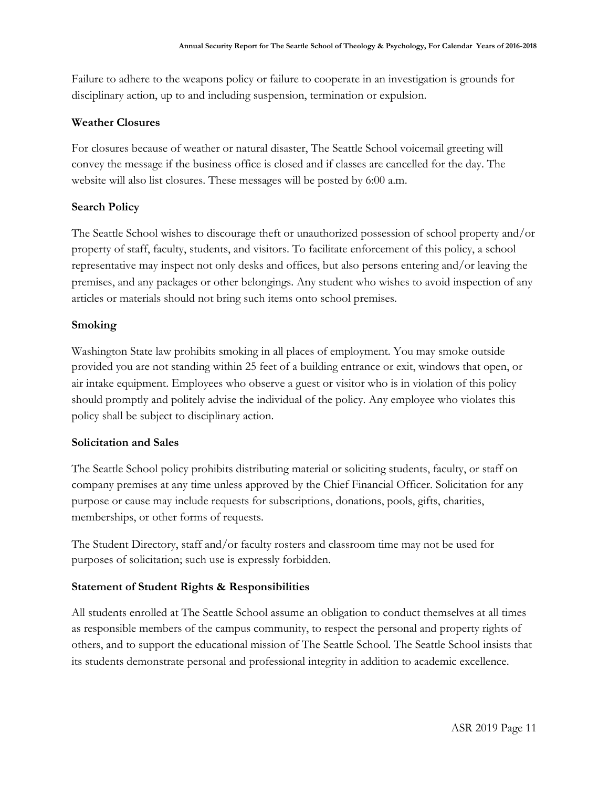Failure to adhere to the weapons policy or failure to cooperate in an investigation is grounds for disciplinary action, up to and including suspension, termination or expulsion.

#### **Weather Closures**

For closures because of weather or natural disaster, The Seattle School voicemail greeting will convey the message if the business office is closed and if classes are cancelled for the day. The website will also list closures. These messages will be posted by 6:00 a.m.

#### **Search Policy**

The Seattle School wishes to discourage theft or unauthorized possession of school property and/or property of staff, faculty, students, and visitors. To facilitate enforcement of this policy, a school representative may inspect not only desks and offices, but also persons entering and/or leaving the premises, and any packages or other belongings. Any student who wishes to avoid inspection of any articles or materials should not bring such items onto school premises.

#### **Smoking**

Washington State law prohibits smoking in all places of employment. You may smoke outside provided you are not standing within 25 feet of a building entrance or exit, windows that open, or air intake equipment. Employees who observe a guest or visitor who is in violation of this policy should promptly and politely advise the individual of the policy. Any employee who violates this policy shall be subject to disciplinary action.

#### **Solicitation and Sales**

The Seattle School policy prohibits distributing material or soliciting students, faculty, or staff on company premises at any time unless approved by the Chief Financial Officer. Solicitation for any purpose or cause may include requests for subscriptions, donations, pools, gifts, charities, memberships, or other forms of requests.

The Student Directory, staff and/or faculty rosters and classroom time may not be used for purposes of solicitation; such use is expressly forbidden.

#### **Statement of Student Rights & Responsibilities**

All students enrolled at The Seattle School assume an obligation to conduct themselves at all times as responsible members of the campus community, to respect the personal and property rights of others, and to support the educational mission of The Seattle School. The Seattle School insists that its students demonstrate personal and professional integrity in addition to academic excellence.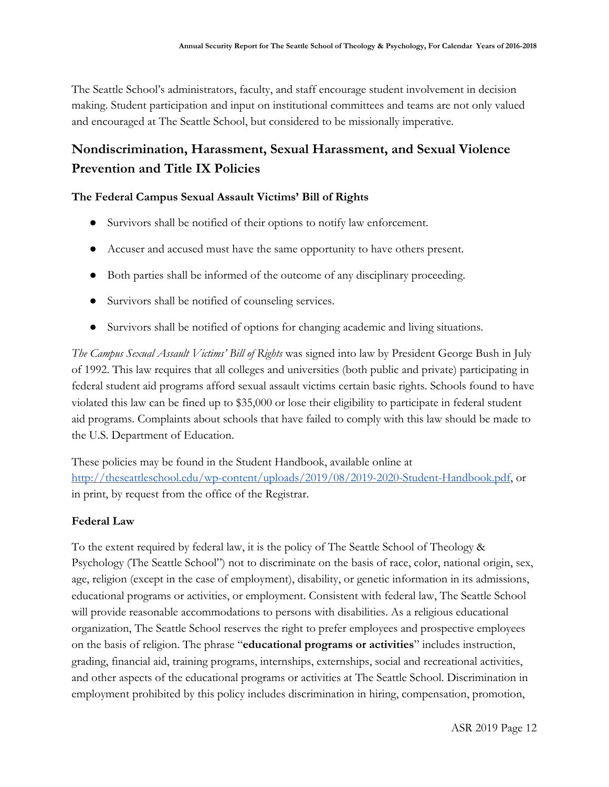The Seattle School's administrators, faculty, and staff encourage student involvement in decision making. Student participation and input on institutional committees and teams are not only valued and encouraged at The Seattle School, but considered to be missionally imperative.

# **Nondiscrimination, Harassment, Sexual Harassment, and Sexual Violence Prevention and Title IX Policies**

#### **The Federal Campus Sexual Assault Victims' Bill of Rights**

- Survivors shall be notified of their options to notify law enforcement.
- Accuser and accused must have the same opportunity to have others present.
- Both parties shall be informed of the outcome of any disciplinary proceeding.
- Survivors shall be notified of counseling services.
- Survivors shall be notified of options for changing academic and living situations.

*The Campus Sexual Assault Victims' Bill of Rights* was signed into law by President George Bush in July of 1992. This law requires that all colleges and universities (both public and private) participating in federal student aid programs afford sexual assault victims certain basic rights. Schools found to have violated this law can be fined up to \$35,000 or lose their eligibility to participate in federal student aid programs. Complaints about schools that have failed to comply with this law should be made to the U.S. Department of Education.

These policies may be found in the Student Handbook, available online at <http://theseattleschool.edu/wp-content/uploads/2019/08/2019-2020-Student-Handbook.pdf>, or in print, by request from the office of the Registrar.

#### **Federal Law**

To the extent required by federal law, it is the policy of The Seattle School of Theology & Psychology (The Seattle School") not to discriminate on the basis of race, color, national origin, sex, age, religion (except in the case of employment), disability, or genetic information in its admissions, educational programs or activities, or employment. Consistent with federal law, The Seattle School will provide reasonable accommodations to persons with disabilities. As a religious educational organization, The Seattle School reserves the right to prefer employees and prospective employees on the basis of religion. The phrase "**educational programs or activities**" includes instruction, grading, financial aid, training programs, internships, externships, social and recreational activities, and other aspects of the educational programs or activities at The Seattle School. Discrimination in employment prohibited by this policy includes discrimination in hiring, compensation, promotion,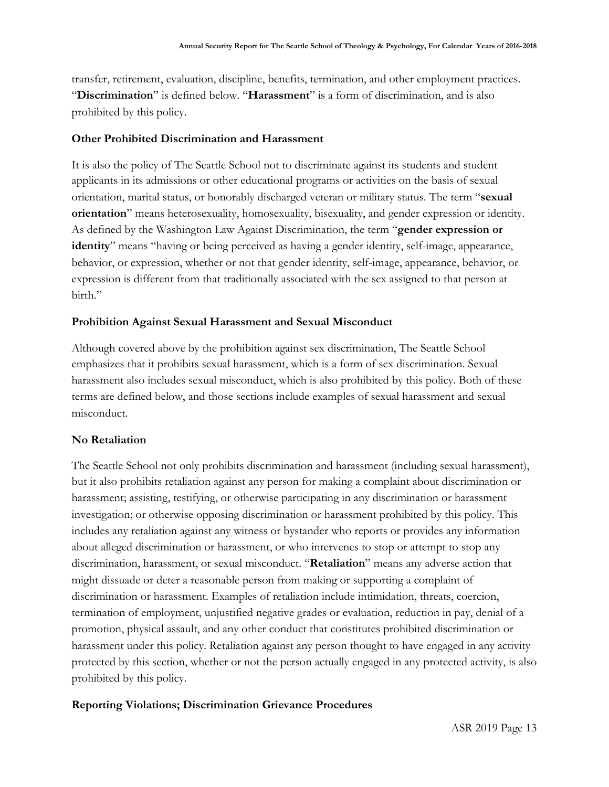transfer, retirement, evaluation, discipline, benefits, termination, and other employment practices. "**Discrimination**" is defined below. "**Harassment**" is a form of discrimination, and is also prohibited by this policy.

#### **Other Prohibited Discrimination and Harassment**

It is also the policy of The Seattle School not to discriminate against its students and student applicants in its admissions or other educational programs or activities on the basis of sexual orientation, marital status, or honorably discharged veteran or military status. The term "**sexual orientation**" means heterosexuality, homosexuality, bisexuality, and gender expression or identity. As defined by the Washington Law Against Discrimination, the term "**gender expression or identity**" means "having or being perceived as having a gender identity, self-image, appearance, behavior, or expression, whether or not that gender identity, self-image, appearance, behavior, or expression is different from that traditionally associated with the sex assigned to that person at birth."

#### **Prohibition Against Sexual Harassment and Sexual Misconduct**

Although covered above by the prohibition against sex discrimination, The Seattle School emphasizes that it prohibits sexual harassment, which is a form of sex discrimination. Sexual harassment also includes sexual misconduct, which is also prohibited by this policy. Both of these terms are defined below, and those sections include examples of sexual harassment and sexual misconduct.

#### **No Retaliation**

The Seattle School not only prohibits discrimination and harassment (including sexual harassment), but it also prohibits retaliation against any person for making a complaint about discrimination or harassment; assisting, testifying, or otherwise participating in any discrimination or harassment investigation; or otherwise opposing discrimination or harassment prohibited by this policy. This includes any retaliation against any witness or bystander who reports or provides any information about alleged discrimination or harassment, or who intervenes to stop or attempt to stop any discrimination, harassment, or sexual misconduct. "**Retaliation**" means any adverse action that might dissuade or deter a reasonable person from making or supporting a complaint of discrimination or harassment. Examples of retaliation include intimidation, threats, coercion, termination of employment, unjustified negative grades or evaluation, reduction in pay, denial of a promotion, physical assault, and any other conduct that constitutes prohibited discrimination or harassment under this policy. Retaliation against any person thought to have engaged in any activity protected by this section, whether or not the person actually engaged in any protected activity, is also prohibited by this policy.

#### **Reporting Violations; Discrimination Grievance Procedures**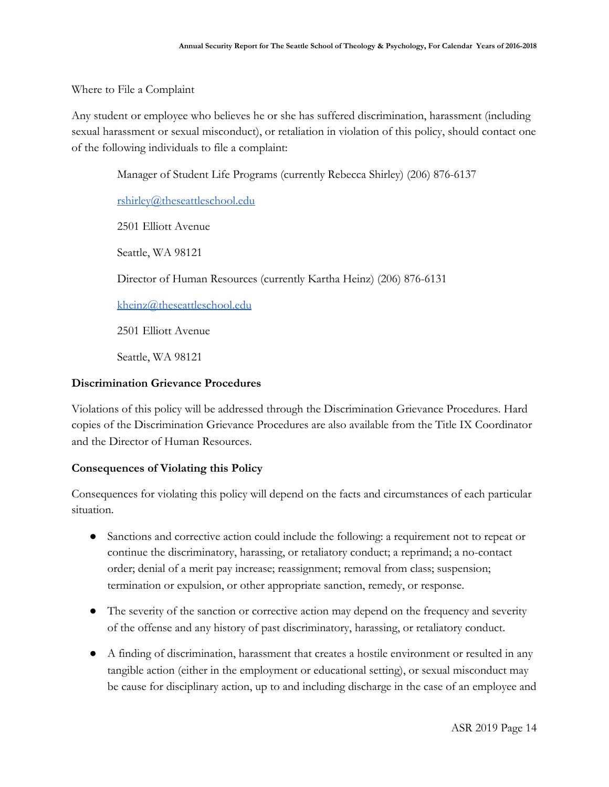Where to File a Complaint

Any student or employee who believes he or she has suffered discrimination, harassment (including sexual harassment or sexual misconduct), or retaliation in violation of this policy, should contact one of the following individuals to file a complaint:

Manager of Student Life Programs (currently Rebecca Shirley) (206) 876-6137

[rshirley@theseattleschool.edu](mailto:rshirley@theseattleschool.edu)

2501 Elliott Avenue

Seattle, WA 98121

Director of Human Resources (currently Kartha Heinz) (206) 876-6131

[kheinz@theseattleschool.edu](mailto:kheinz@theseattleschool.edu)

2501 Elliott Avenue

Seattle, WA 98121

#### **Discrimination Grievance Procedures**

Violations of this policy will be addressed through the Discrimination Grievance Procedures. Hard copies of the Discrimination Grievance Procedures are also available from the Title IX Coordinator and the Director of Human Resources.

#### **Consequences of Violating this Policy**

Consequences for violating this policy will depend on the facts and circumstances of each particular situation.

- Sanctions and corrective action could include the following: a requirement not to repeat or continue the discriminatory, harassing, or retaliatory conduct; a reprimand; a no-contact order; denial of a merit pay increase; reassignment; removal from class; suspension; termination or expulsion, or other appropriate sanction, remedy, or response.
- The severity of the sanction or corrective action may depend on the frequency and severity of the offense and any history of past discriminatory, harassing, or retaliatory conduct.
- A finding of discrimination, harassment that creates a hostile environment or resulted in any tangible action (either in the employment or educational setting), or sexual misconduct may be cause for disciplinary action, up to and including discharge in the case of an employee and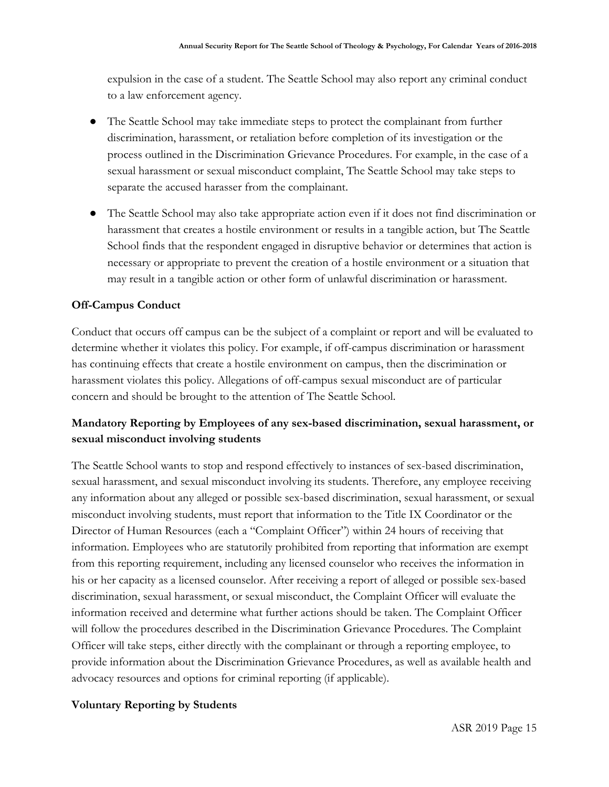expulsion in the case of a student. The Seattle School may also report any criminal conduct to a law enforcement agency.

- The Seattle School may take immediate steps to protect the complainant from further discrimination, harassment, or retaliation before completion of its investigation or the process outlined in the Discrimination Grievance Procedures. For example, in the case of a sexual harassment or sexual misconduct complaint, The Seattle School may take steps to separate the accused harasser from the complainant.
- The Seattle School may also take appropriate action even if it does not find discrimination or harassment that creates a hostile environment or results in a tangible action, but The Seattle School finds that the respondent engaged in disruptive behavior or determines that action is necessary or appropriate to prevent the creation of a hostile environment or a situation that may result in a tangible action or other form of unlawful discrimination or harassment.

#### **Off-Campus Conduct**

Conduct that occurs off campus can be the subject of a complaint or report and will be evaluated to determine whether it violates this policy. For example, if off-campus discrimination or harassment has continuing effects that create a hostile environment on campus, then the discrimination or harassment violates this policy. Allegations of off-campus sexual misconduct are of particular concern and should be brought to the attention of The Seattle School.

## **Mandatory Reporting by Employees of any sex-based discrimination, sexual harassment, or sexual misconduct involving students**

The Seattle School wants to stop and respond effectively to instances of sex-based discrimination, sexual harassment, and sexual misconduct involving its students. Therefore, any employee receiving any information about any alleged or possible sex-based discrimination, sexual harassment, or sexual misconduct involving students, must report that information to the Title IX Coordinator or the Director of Human Resources (each a "Complaint Officer") within 24 hours of receiving that information. Employees who are statutorily prohibited from reporting that information are exempt from this reporting requirement, including any licensed counselor who receives the information in his or her capacity as a licensed counselor. After receiving a report of alleged or possible sex-based discrimination, sexual harassment, or sexual misconduct, the Complaint Officer will evaluate the information received and determine what further actions should be taken. The Complaint Officer will follow the procedures described in the Discrimination Grievance Procedures. The Complaint Officer will take steps, either directly with the complainant or through a reporting employee, to provide information about the Discrimination Grievance Procedures, as well as available health and advocacy resources and options for criminal reporting (if applicable).

#### **Voluntary Reporting by Students**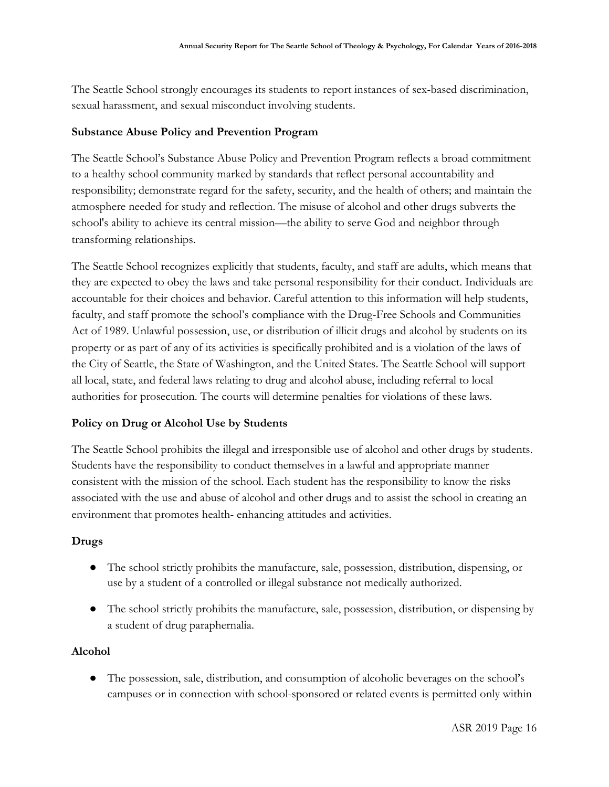The Seattle School strongly encourages its students to report instances of sex-based discrimination, sexual harassment, and sexual misconduct involving students.

#### **Substance Abuse Policy and Prevention Program**

The Seattle School's Substance Abuse Policy and Prevention Program reflects a broad commitment to a healthy school community marked by standards that reflect personal accountability and responsibility; demonstrate regard for the safety, security, and the health of others; and maintain the atmosphere needed for study and reflection. The misuse of alcohol and other drugs subverts the school's ability to achieve its central mission—the ability to serve God and neighbor through transforming relationships.

The Seattle School recognizes explicitly that students, faculty, and staff are adults, which means that they are expected to obey the laws and take personal responsibility for their conduct. Individuals are accountable for their choices and behavior. Careful attention to this information will help students, faculty, and staff promote the school's compliance with the Drug-Free Schools and Communities Act of 1989. Unlawful possession, use, or distribution of illicit drugs and alcohol by students on its property or as part of any of its activities is specifically prohibited and is a violation of the laws of the City of Seattle, the State of Washington, and the United States. The Seattle School will support all local, state, and federal laws relating to drug and alcohol abuse, including referral to local authorities for prosecution. The courts will determine penalties for violations of these laws.

#### **Policy on Drug or Alcohol Use by Students**

The Seattle School prohibits the illegal and irresponsible use of alcohol and other drugs by students. Students have the responsibility to conduct themselves in a lawful and appropriate manner consistent with the mission of the school. Each student has the responsibility to know the risks associated with the use and abuse of alcohol and other drugs and to assist the school in creating an environment that promotes health- enhancing attitudes and activities.

#### **Drugs**

- The school strictly prohibits the manufacture, sale, possession, distribution, dispensing, or use by a student of a controlled or illegal substance not medically authorized.
- The school strictly prohibits the manufacture, sale, possession, distribution, or dispensing by a student of drug paraphernalia.

#### **Alcohol**

● The possession, sale, distribution, and consumption of alcoholic beverages on the school's campuses or in connection with school-sponsored or related events is permitted only within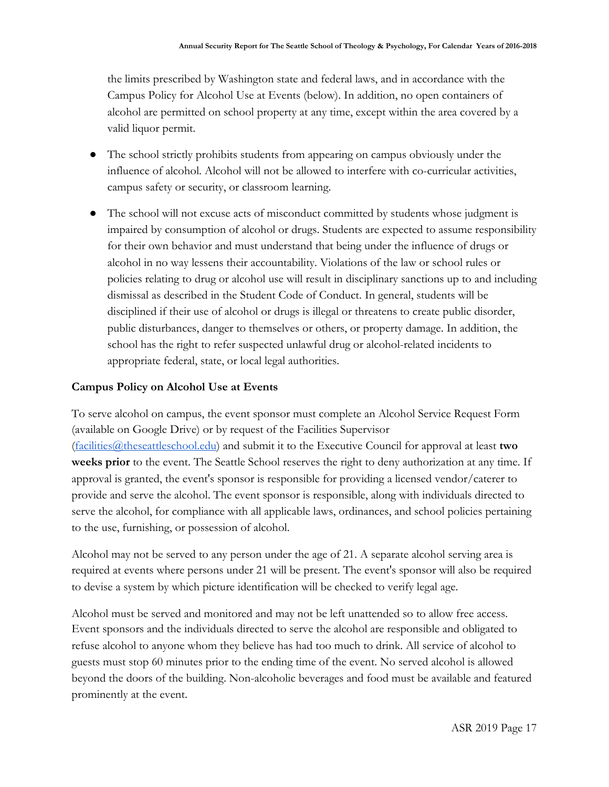the limits prescribed by Washington state and federal laws, and in accordance with the Campus Policy for Alcohol Use at Events (below). In addition, no open containers of alcohol are permitted on school property at any time, except within the area covered by a valid liquor permit.

- The school strictly prohibits students from appearing on campus obviously under the influence of alcohol. Alcohol will not be allowed to interfere with co-curricular activities, campus safety or security, or classroom learning.
- The school will not excuse acts of misconduct committed by students whose judgment is impaired by consumption of alcohol or drugs. Students are expected to assume responsibility for their own behavior and must understand that being under the influence of drugs or alcohol in no way lessens their accountability. Violations of the law or school rules or policies relating to drug or alcohol use will result in disciplinary sanctions up to and including dismissal as described in the Student Code of Conduct. In general, students will be disciplined if their use of alcohol or drugs is illegal or threatens to create public disorder, public disturbances, danger to themselves or others, or property damage. In addition, the school has the right to refer suspected unlawful drug or alcohol-related incidents to appropriate federal, state, or local legal authorities.

#### **Campus Policy on Alcohol Use at Events**

To serve alcohol on campus, the event sponsor must complete an Alcohol Service Request Form (available on Google Drive) or by request of the Facilities Supervisor ([facilities@theseattleschool.edu\)](mailto:facilities@theseattleschool.edu) and submit it to the Executive Council for approval at least **two weeks prior** to the event. The Seattle School reserves the right to deny authorization at any time. If approval is granted, the event's sponsor is responsible for providing a licensed vendor/caterer to provide and serve the alcohol. The event sponsor is responsible, along with individuals directed to serve the alcohol, for compliance with all applicable laws, ordinances, and school policies pertaining to the use, furnishing, or possession of alcohol.

Alcohol may not be served to any person under the age of 21. A separate alcohol serving area is required at events where persons under 21 will be present. The event's sponsor will also be required to devise a system by which picture identification will be checked to verify legal age.

Alcohol must be served and monitored and may not be left unattended so to allow free access. Event sponsors and the individuals directed to serve the alcohol are responsible and obligated to refuse alcohol to anyone whom they believe has had too much to drink. All service of alcohol to guests must stop 60 minutes prior to the ending time of the event. No served alcohol is allowed beyond the doors of the building. Non-alcoholic beverages and food must be available and featured prominently at the event.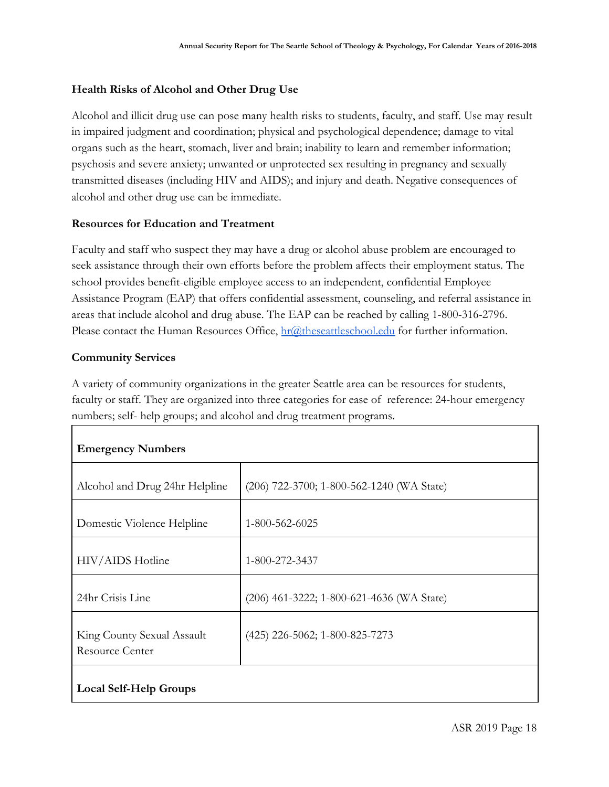#### **Health Risks of Alcohol and Other Drug Use**

Alcohol and illicit drug use can pose many health risks to students, faculty, and staff. Use may result in impaired judgment and coordination; physical and psychological dependence; damage to vital organs such as the heart, stomach, liver and brain; inability to learn and remember information; psychosis and severe anxiety; unwanted or unprotected sex resulting in pregnancy and sexually transmitted diseases (including HIV and AIDS); and injury and death. Negative consequences of alcohol and other drug use can be immediate.

#### **Resources for Education and Treatment**

Faculty and staff who suspect they may have a drug or alcohol abuse problem are encouraged to seek assistance through their own efforts before the problem affects their employment status. The school provides benefit-eligible employee access to an independent, confidential Employee Assistance Program (EAP) that offers confidential assessment, counseling, and referral assistance in areas that include alcohol and drug abuse. The EAP can be reached by calling 1-800-316-2796. Please contact the Human Resources Office, [hr@theseattleschool.edu](mailto:hr@theseattleschool.edu) for further information.

#### **Community Services**

A variety of community organizations in the greater Seattle area can be resources for students, faculty or staff. They are organized into three categories for ease of reference: 24-hour emergency numbers; self- help groups; and alcohol and drug treatment programs.

| <b>Emergency Numbers</b>                             |                                           |
|------------------------------------------------------|-------------------------------------------|
| Alcohol and Drug 24hr Helpline                       | (206) 722-3700; 1-800-562-1240 (WA State) |
| Domestic Violence Helpline                           | 1-800-562-6025                            |
| HIV/AIDS Hotline                                     | 1-800-272-3437                            |
| 24hr Crisis Line                                     | (206) 461-3222; 1-800-621-4636 (WA State) |
| King County Sexual Assault<br><b>Resource Center</b> | (425) 226-5062; 1-800-825-7273            |
| <b>Local Self-Help Groups</b>                        |                                           |

ASR 2019 Page 18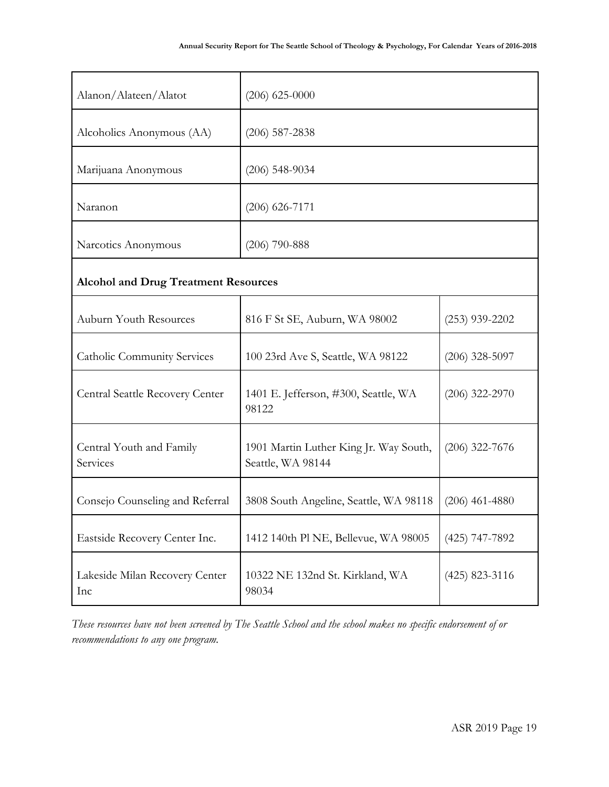| Alanon/Alateen/Alatot                       | $(206)$ 625-0000                                            |                  |  |  |
|---------------------------------------------|-------------------------------------------------------------|------------------|--|--|
| Alcoholics Anonymous (AA)                   | $(206)$ 587-2838                                            |                  |  |  |
| Marijuana Anonymous                         | $(206)$ 548-9034                                            |                  |  |  |
| Naranon                                     | $(206)$ 626-7171                                            |                  |  |  |
| Narcotics Anonymous                         | $(206)$ 790-888                                             |                  |  |  |
| <b>Alcohol and Drug Treatment Resources</b> |                                                             |                  |  |  |
| <b>Auburn Youth Resources</b>               | 816 F St SE, Auburn, WA 98002                               | $(253)$ 939-2202 |  |  |
| <b>Catholic Community Services</b>          | 100 23rd Ave S, Seattle, WA 98122                           | $(206)$ 328-5097 |  |  |
| Central Seattle Recovery Center             | 1401 E. Jefferson, #300, Seattle, WA<br>98122               | $(206)$ 322-2970 |  |  |
| Central Youth and Family<br>Services        | 1901 Martin Luther King Jr. Way South,<br>Seattle, WA 98144 | $(206)$ 322-7676 |  |  |
| Consejo Counseling and Referral             | 3808 South Angeline, Seattle, WA 98118                      | $(206)$ 461-4880 |  |  |
| Eastside Recovery Center Inc.               | 1412 140th Pl NE, Bellevue, WA 98005                        | $(425)$ 747-7892 |  |  |
| Lakeside Milan Recovery Center<br>Inc       | 10322 NE 132nd St. Kirkland, WA<br>98034                    | $(425)$ 823-3116 |  |  |

*These resources have not been screened by The Seattle School and the school makes no specific endorsement of or recommendations to any one program.*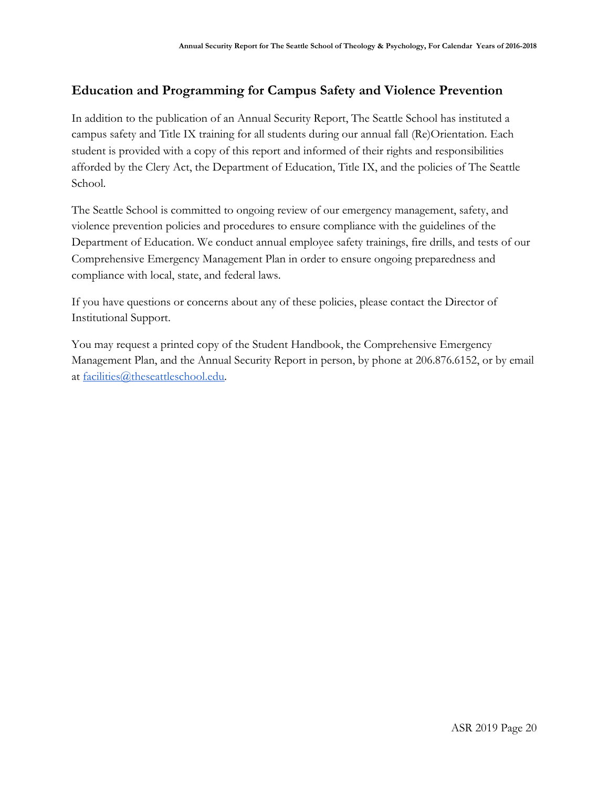# **Education and Programming for Campus Safety and Violence Prevention**

In addition to the publication of an Annual Security Report, The Seattle School has instituted a campus safety and Title IX training for all students during our annual fall (Re)Orientation. Each student is provided with a copy of this report and informed of their rights and responsibilities afforded by the Clery Act, the Department of Education, Title IX, and the policies of The Seattle School.

The Seattle School is committed to ongoing review of our emergency management, safety, and violence prevention policies and procedures to ensure compliance with the guidelines of the Department of Education. We conduct annual employee safety trainings, fire drills, and tests of our Comprehensive Emergency Management Plan in order to ensure ongoing preparedness and compliance with local, state, and federal laws.

If you have questions or concerns about any of these policies, please contact the Director of Institutional Support.

You may request a printed copy of the Student Handbook, the Comprehensive Emergency Management Plan, and the Annual Security Report in person, by phone at 206.876.6152, or by email at [facilities@theseattleschool.edu.](mailto:facilities@theseattleschool.edu)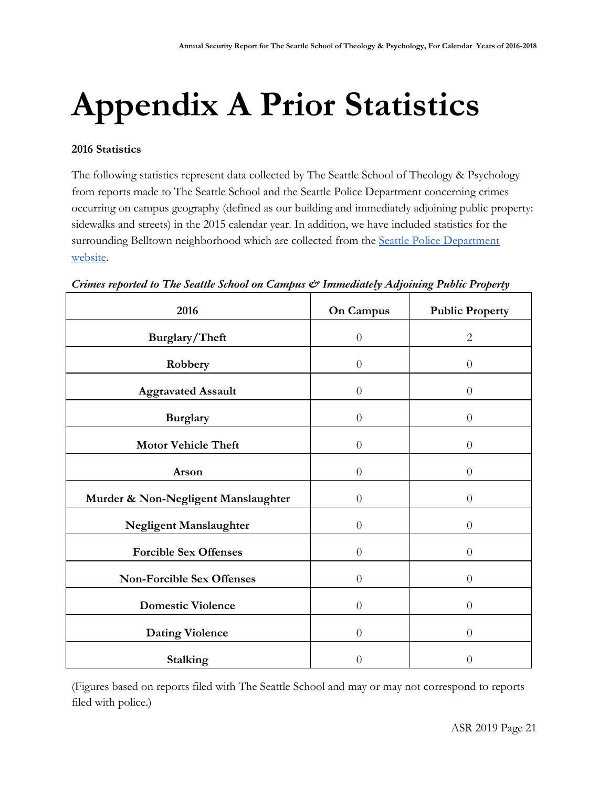# **Appendix A Prior Statistics**

#### **2016 Statistics**

The following statistics represent data collected by The Seattle School of Theology & Psychology from reports made to The Seattle School and the Seattle Police Department concerning crimes occurring on campus geography (defined as our building and immediately adjoining public property: sidewalks and streets) in the 2015 calendar year. In addition, we have included statistics for the surrounding Belltown neighborhood which are collected from the [Seattle Police Department](https://www.seattle.gov/police/information-and-data/crime-dashboard) [website](https://www.seattle.gov/police/information-and-data/crime-dashboard).

| 2016                                | <b>On Campus</b> | <b>Public Property</b> |
|-------------------------------------|------------------|------------------------|
| Burglary/Theft                      | $\overline{0}$   | $\overline{2}$         |
| Robbery                             | $\boldsymbol{0}$ | $\theta$               |
| <b>Aggravated Assault</b>           | $\theta$         | $\theta$               |
| <b>Burglary</b>                     | $\overline{0}$   | $\theta$               |
| <b>Motor Vehicle Theft</b>          | $\overline{0}$   | $\theta$               |
| Arson                               | $\theta$         | $\theta$               |
| Murder & Non-Negligent Manslaughter | $\overline{0}$   | $\theta$               |
| Negligent Manslaughter              | $\overline{0}$   | $\theta$               |
| <b>Forcible Sex Offenses</b>        | $\theta$         | $\theta$               |
| <b>Non-Forcible Sex Offenses</b>    | $\overline{0}$   | $\theta$               |
| <b>Domestic Violence</b>            | $\theta$         | $\theta$               |
| <b>Dating Violence</b>              | $\theta$         | $\theta$               |
| <b>Stalking</b>                     | 0                | $\overline{0}$         |

*Crimes reported to The Seattle School on Campus & Immediately Adjoining Public Property*

(Figures based on reports filed with The Seattle School and may or may not correspond to reports filed with police.)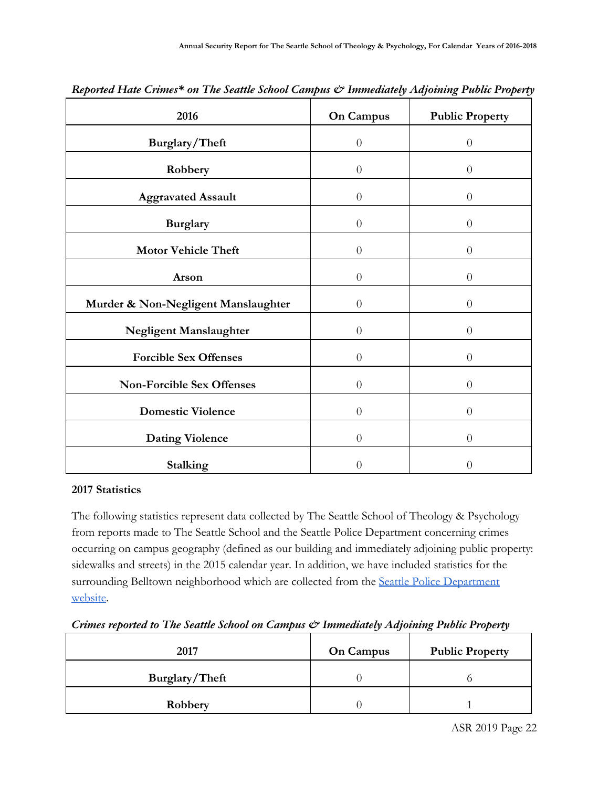| 2016                                                                  | <b>On Campus</b>     | <b>Public Property</b> |
|-----------------------------------------------------------------------|----------------------|------------------------|
| Burglary/Theft                                                        | $\boldsymbol{0}$     | $\theta$               |
| Robbery                                                               | $\boldsymbol{0}$     | $\theta$               |
| <b>Aggravated Assault</b>                                             | $\boldsymbol{0}$     | $\theta$               |
| <b>Burglary</b>                                                       | $\boldsymbol{0}$     | $\theta$               |
| <b>Motor Vehicle Theft</b>                                            | $\overline{0}$       | $\theta$               |
| Arson                                                                 | $\theta$             | $\theta$               |
| Murder & Non-Negligent Manslaughter                                   | $\theta$             | $\overline{0}$         |
| Negligent Manslaughter                                                | $\boldsymbol{0}$     | $\theta$               |
| <b>Forcible Sex Offenses</b>                                          | $\boldsymbol{0}$     | $\theta$               |
| Non-Forcible Sex Offenses                                             | $\overline{0}$       | $\overline{0}$         |
|                                                                       |                      |                        |
|                                                                       |                      |                        |
|                                                                       | $\boldsymbol{0}$     | $\theta$               |
| <b>Domestic Violence</b><br><b>Dating Violence</b><br><b>Stalking</b> | $\theta$<br>$\theta$ | $\theta$<br>$\theta$   |

*Reported Hate Crimes\* on The Seattle School Campus & Immediately Adjoining Public Property*

#### **2017 Statistics**

The following statistics represent data collected by The Seattle School of Theology & Psychology from reports made to The Seattle School and the Seattle Police Department concerning crimes occurring on campus geography (defined as our building and immediately adjoining public property: sidewalks and streets) in the 2015 calendar year. In addition, we have included statistics for the surrounding Belltown neighborhood which are collected from the [Seattle Police Department](https://www.seattle.gov/police/information-and-data/crime-dashboard) [website](https://www.seattle.gov/police/information-and-data/crime-dashboard).

*Crimes reported to The Seattle School on Campus & Immediately Adjoining Public Property*

| 2017           | <b>On Campus</b> | <b>Public Property</b> |
|----------------|------------------|------------------------|
| Burglary/Theft |                  |                        |
| Robbery        |                  |                        |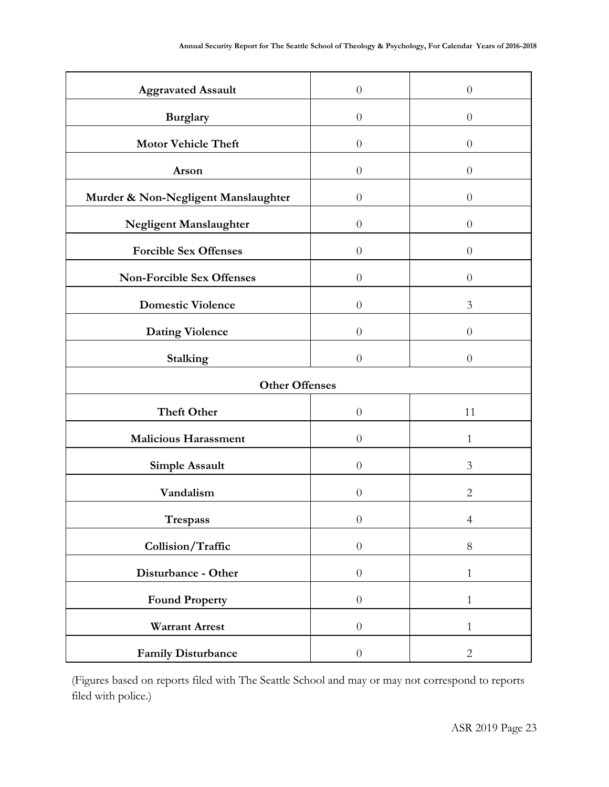| <b>Aggravated Assault</b>           | $\boldsymbol{0}$ | $\theta$       |  |
|-------------------------------------|------------------|----------------|--|
| <b>Burglary</b>                     | $\theta$         | $\overline{0}$ |  |
| <b>Motor Vehicle Theft</b>          | $\boldsymbol{0}$ | $\theta$       |  |
| Arson                               | $\theta$         | $\theta$       |  |
| Murder & Non-Negligent Manslaughter | $\theta$         | $\theta$       |  |
| Negligent Manslaughter              | $\theta$         | $\theta$       |  |
| <b>Forcible Sex Offenses</b>        | $\theta$         | $\theta$       |  |
| <b>Non-Forcible Sex Offenses</b>    | $\overline{0}$   | $\overline{0}$ |  |
| <b>Domestic Violence</b>            | $\theta$         | 3              |  |
| <b>Dating Violence</b>              | $\theta$         | $\theta$       |  |
| Stalking                            | $\boldsymbol{0}$ | $\theta$       |  |
| <b>Other Offenses</b>               |                  |                |  |
|                                     |                  |                |  |
| <b>Theft Other</b>                  | $\theta$         | 11             |  |
| <b>Malicious Harassment</b>         | $\theta$         | $\mathbf{1}$   |  |
| Simple Assault                      | $\theta$         | 3              |  |
| Vandalism                           | $\overline{0}$   | $\overline{2}$ |  |
| $\operatorname{Trespass}$           | $\theta$         | $\overline{4}$ |  |
| Collision/Traffic                   | $\boldsymbol{0}$ | $8\,$          |  |
| Disturbance - Other                 | $\boldsymbol{0}$ | $\mathbf{1}$   |  |
| <b>Found Property</b>               | $\boldsymbol{0}$ | $\mathbf{1}$   |  |
| <b>Warrant Arrest</b>               | $\boldsymbol{0}$ | $\mathbf{1}$   |  |

(Figures based on reports filed with The Seattle School and may or may not correspond to reports filed with police.)